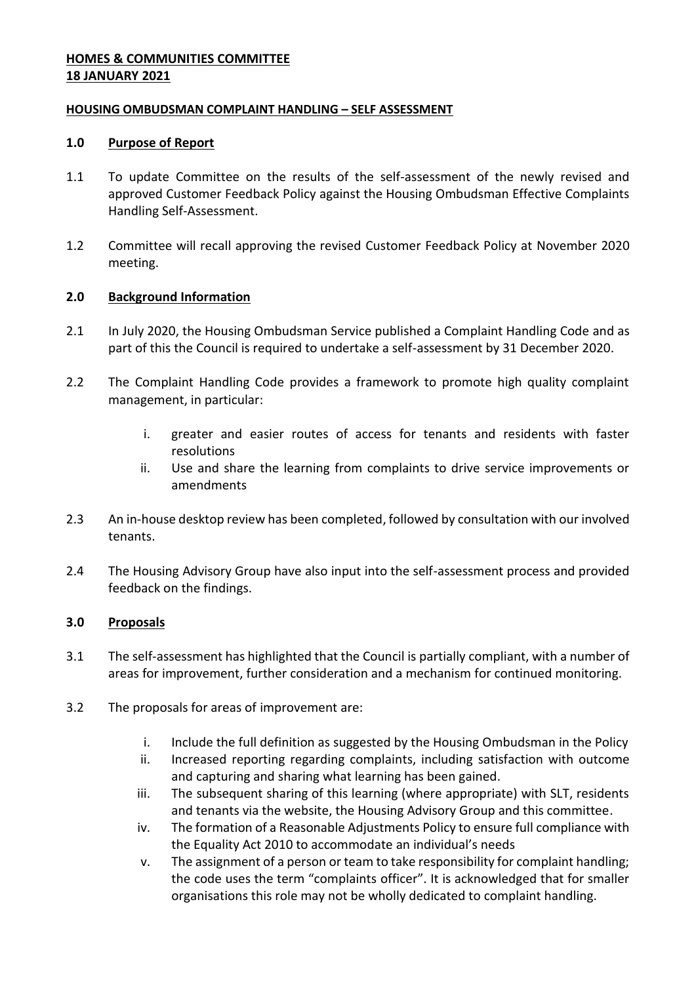# **HOMES & COMMUNITIES COMMITTEE 18 JANUARY 2021**

#### **HOUSING OMBUDSMAN COMPLAINT HANDLING – SELF ASSESSMENT**

#### **1.0 Purpose of Report**

- 1.1 To update Committee on the results of the self-assessment of the newly revised and approved Customer Feedback Policy against the Housing Ombudsman Effective Complaints Handling Self-Assessment.
- 1.2 Committee will recall approving the revised Customer Feedback Policy at November 2020 meeting.

#### **2.0 Background Information**

- 2.1 In July 2020, the Housing Ombudsman Service published a Complaint Handling Code and as part of this the Council is required to undertake a self-assessment by 31 December 2020.
- 2.2 The Complaint Handling Code provides a framework to promote high quality complaint management, in particular:
	- i. greater and easier routes of access for tenants and residents with faster resolutions
	- ii. Use and share the learning from complaints to drive service improvements or amendments
- 2.3 An in-house desktop review has been completed, followed by consultation with our involved tenants.
- 2.4 The Housing Advisory Group have also input into the self-assessment process and provided feedback on the findings.

#### **3.0 Proposals**

- 3.1 The self-assessment has highlighted that the Council is partially compliant, with a number of areas for improvement, further consideration and a mechanism for continued monitoring.
- 3.2 The proposals for areas of improvement are:
	- i. Include the full definition as suggested by the Housing Ombudsman in the Policy
	- ii. Increased reporting regarding complaints, including satisfaction with outcome and capturing and sharing what learning has been gained.
	- iii. The subsequent sharing of this learning (where appropriate) with SLT, residents and tenants via the website, the Housing Advisory Group and this committee.
	- iv. The formation of a Reasonable Adjustments Policy to ensure full compliance with the Equality Act 2010 to accommodate an individual's needs
	- v. The assignment of a person or team to take responsibility for complaint handling; the code uses the term "complaints officer". It is acknowledged that for smaller organisations this role may not be wholly dedicated to complaint handling.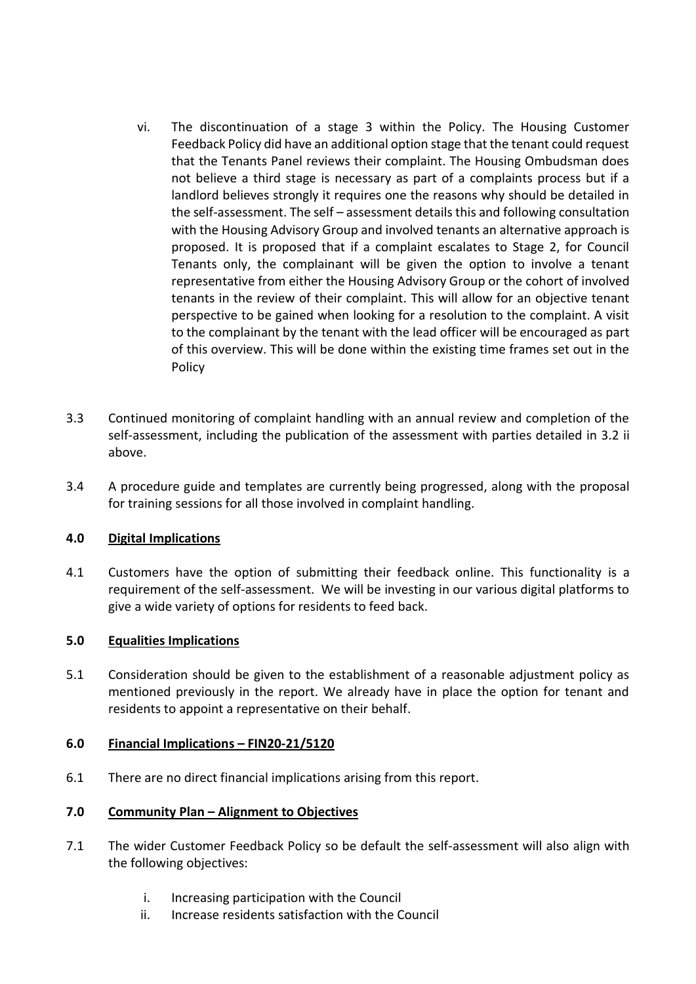- vi. The discontinuation of a stage 3 within the Policy. The Housing Customer Feedback Policy did have an additional option stage that the tenant could request that the Tenants Panel reviews their complaint. The Housing Ombudsman does not believe a third stage is necessary as part of a complaints process but if a landlord believes strongly it requires one the reasons why should be detailed in the self-assessment. The self – assessment details this and following consultation with the Housing Advisory Group and involved tenants an alternative approach is proposed. It is proposed that if a complaint escalates to Stage 2, for Council Tenants only, the complainant will be given the option to involve a tenant representative from either the Housing Advisory Group or the cohort of involved tenants in the review of their complaint. This will allow for an objective tenant perspective to be gained when looking for a resolution to the complaint. A visit to the complainant by the tenant with the lead officer will be encouraged as part of this overview. This will be done within the existing time frames set out in the Policy
- 3.3 Continued monitoring of complaint handling with an annual review and completion of the self-assessment, including the publication of the assessment with parties detailed in 3.2 ii above.
- 3.4 A procedure guide and templates are currently being progressed, along with the proposal for training sessions for all those involved in complaint handling.

#### **4.0 Digital Implications**

4.1 Customers have the option of submitting their feedback online. This functionality is a requirement of the self-assessment. We will be investing in our various digital platforms to give a wide variety of options for residents to feed back.

## **5.0 Equalities Implications**

5.1 Consideration should be given to the establishment of a reasonable adjustment policy as mentioned previously in the report. We already have in place the option for tenant and residents to appoint a representative on their behalf.

#### **6.0 Financial Implications – FIN20-21/5120**

6.1 There are no direct financial implications arising from this report.

#### **7.0 Community Plan – Alignment to Objectives**

- 7.1 The wider Customer Feedback Policy so be default the self-assessment will also align with the following objectives:
	- i. Increasing participation with the Council
	- ii. Increase residents satisfaction with the Council